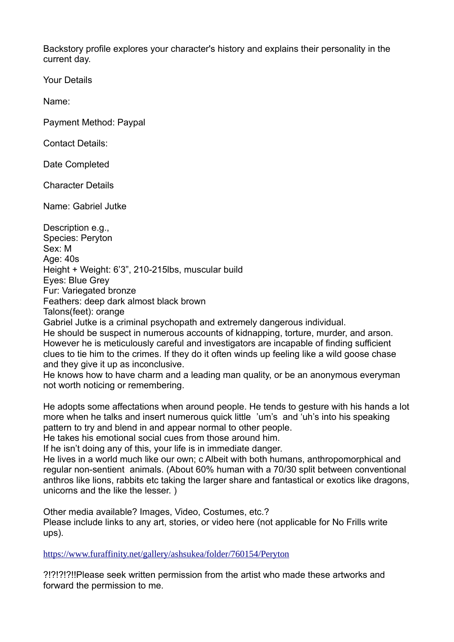Backstory profile explores your character's history and explains their personality in the current day.

Your Details

Name:

Payment Method: Paypal

Contact Details:

Date Completed

Character Details

Name: Gabriel Jutke

Description e.g., Species: Peryton Sex: M Age: 40s Height + Weight: 6'3", 210-215lbs, muscular build Eyes: Blue Grey Fur: Variegated bronze Feathers: deep dark almost black brown Talons(feet): orange Gabriel Jutke is a criminal psychopath and extremely dangerous individual. He should be suspect in numerous accounts of kidnapping, torture, murder, and arson. However he is meticulously careful and investigators are incapable of finding sufficient

clues to tie him to the crimes. If they do it often winds up feeling like a wild goose chase and they give it up as inconclusive.

He knows how to have charm and a leading man quality, or be an anonymous everyman not worth noticing or remembering.

He adopts some affectations when around people. He tends to gesture with his hands a lot more when he talks and insert numerous quick little 'um's and 'uh's into his speaking pattern to try and blend in and appear normal to other people.

He takes his emotional social cues from those around him.

If he isn't doing any of this, your life is in immediate danger.

He lives in a world much like our own; c Albeit with both humans, anthropomorphical and regular non-sentient animals. (About 60% human with a 70/30 split between conventional anthros like lions, rabbits etc taking the larger share and fantastical or exotics like dragons, unicorns and the like the lesser. )

Other media available? Images, Video, Costumes, etc.? Please include links to any art, stories, or video here (not applicable for No Frills write ups).

<https://www.furaffinity.net/gallery/ashsukea/folder/760154/Peryton>

?!?!?!?!!Please seek written permission from the artist who made these artworks and forward the permission to me.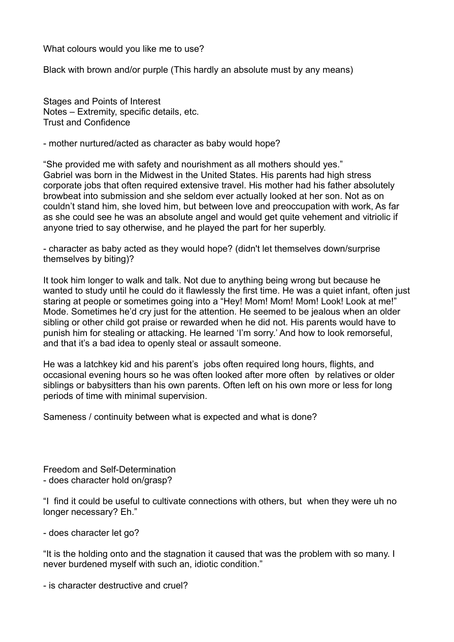What colours would you like me to use?

Black with brown and/or purple (This hardly an absolute must by any means)

Stages and Points of Interest Notes – Extremity, specific details, etc. Trust and Confidence

- mother nurtured/acted as character as baby would hope?

"She provided me with safety and nourishment as all mothers should yes." Gabriel was born in the Midwest in the United States. His parents had high stress corporate jobs that often required extensive travel. His mother had his father absolutely browbeat into submission and she seldom ever actually looked at her son. Not as on couldn't stand him, she loved him, but between love and preoccupation with work, As far as she could see he was an absolute angel and would get quite vehement and vitriolic if anyone tried to say otherwise, and he played the part for her superbly.

- character as baby acted as they would hope? (didn't let themselves down/surprise themselves by biting)?

It took him longer to walk and talk. Not due to anything being wrong but because he wanted to study until he could do it flawlessly the first time. He was a quiet infant, often just staring at people or sometimes going into a "Hey! Mom! Mom! Mom! Look! Look at me!" Mode. Sometimes he'd cry just for the attention. He seemed to be jealous when an older sibling or other child got praise or rewarded when he did not. His parents would have to punish him for stealing or attacking. He learned 'I'm sorry.' And how to look remorseful, and that it's a bad idea to openly steal or assault someone.

He was a latchkey kid and his parent's jobs often required long hours, flights, and occasional evening hours so he was often looked after more often by relatives or older siblings or babysitters than his own parents. Often left on his own more or less for long periods of time with minimal supervision.

Sameness / continuity between what is expected and what is done?

Freedom and Self-Determination - does character hold on/grasp?

"I find it could be useful to cultivate connections with others, but when they were uh no longer necessary? Eh."

- does character let go?

"It is the holding onto and the stagnation it caused that was the problem with so many. I never burdened myself with such an, idiotic condition."

- is character destructive and cruel?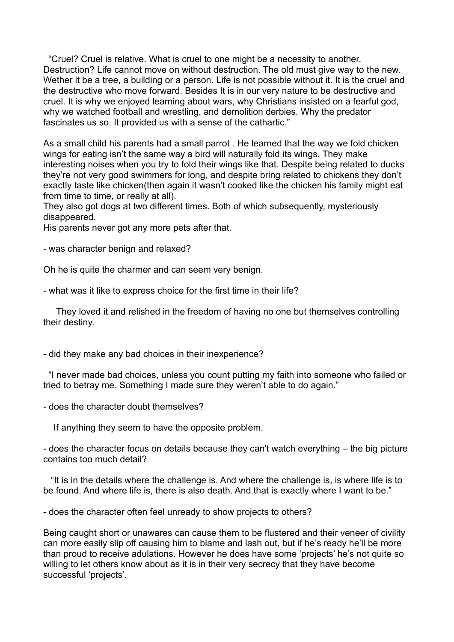"Cruel? Cruel is relative. What is cruel to one might be a necessity to another. Destruction? Life cannot move on without destruction. The old must give way to the new. Wether it be a tree, a building or a person. Life is not possible without it. It is the cruel and the destructive who move forward. Besides It is in our very nature to be destructive and cruel. It is why we enjoyed learning about wars, why Christians insisted on a fearful god, why we watched football and wrestling, and demolition derbies. Why the predator fascinates us so. It provided us with a sense of the cathartic."

As a small child his parents had a small parrot . He learned that the way we fold chicken wings for eating isn't the same way a bird will naturally fold its wings. They make interesting noises when you try to fold their wings like that. Despite being related to ducks they're not very good swimmers for long, and despite bring related to chickens they don't exactly taste like chicken(then again it wasn't cooked like the chicken his family might eat from time to time, or really at all).

They also got dogs at two different times. Both of which subsequently, mysteriously disappeared.

His parents never got any more pets after that.

- was character benign and relaxed?

Oh he is quite the charmer and can seem very benign.

- what was it like to express choice for the first time in their life?

They loved it and relished in the freedom of having no one but themselves controlling their destiny.

- did they make any bad choices in their inexperience?

 "I never made bad choices, unless you count putting my faith into someone who failed or tried to betray me. Something I made sure they weren't able to do again."

- does the character doubt themselves?

If anything they seem to have the opposite problem.

- does the character focus on details because they can't watch everything – the big picture contains too much detail?

"It is in the details where the challenge is. And where the challenge is, is where life is to be found. And where life is, there is also death. And that is exactly where I want to be."

- does the character often feel unready to show projects to others?

Being caught short or unawares can cause them to be flustered and their veneer of civility can more easily slip off causing him to blame and lash out, but if he's ready he'll be more than proud to receive adulations. However he does have some 'projects' he's not quite so willing to let others know about as it is in their very secrecy that they have become successful 'projects'.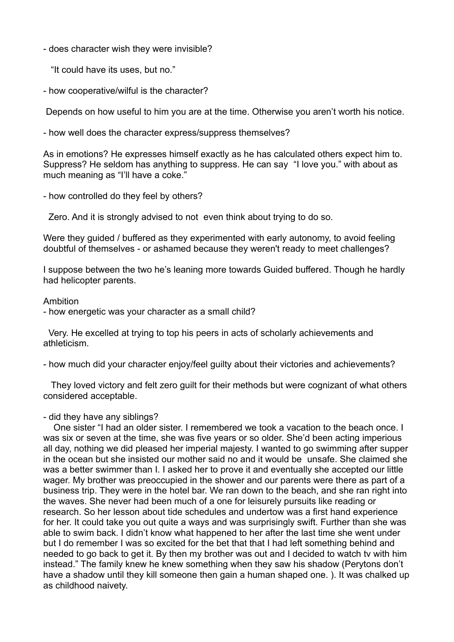- does character wish they were invisible?

"It could have its uses, but no."

- how cooperative/wilful is the character?

Depends on how useful to him you are at the time. Otherwise you aren't worth his notice.

- how well does the character express/suppress themselves?

As in emotions? He expresses himself exactly as he has calculated others expect him to. Suppress? He seldom has anything to suppress. He can say "I love you." with about as much meaning as "I'll have a coke."

- how controlled do they feel by others?

Zero. And it is strongly advised to not even think about trying to do so.

Were they guided / buffered as they experimented with early autonomy, to avoid feeling doubtful of themselves - or ashamed because they weren't ready to meet challenges?

I suppose between the two he's leaning more towards Guided buffered. Though he hardly had helicopter parents.

## Ambition

- how energetic was your character as a small child?

 Very. He excelled at trying to top his peers in acts of scholarly achievements and athleticism.

- how much did your character enjoy/feel guilty about their victories and achievements?

They loved victory and felt zero guilt for their methods but were cognizant of what others considered acceptable.

## - did they have any siblings?

 One sister "I had an older sister. I remembered we took a vacation to the beach once. I was six or seven at the time, she was five years or so older. She'd been acting imperious all day, nothing we did pleased her imperial majesty. I wanted to go swimming after supper in the ocean but she insisted our mother said no and it would be unsafe. She claimed she was a better swimmer than I. I asked her to prove it and eventually she accepted our little wager. My brother was preoccupied in the shower and our parents were there as part of a business trip. They were in the hotel bar. We ran down to the beach, and she ran right into the waves. She never had been much of a one for leisurely pursuits like reading or research. So her lesson about tide schedules and undertow was a first hand experience for her. It could take you out quite a ways and was surprisingly swift. Further than she was able to swim back. I didn't know what happened to her after the last time she went under but I do remember I was so excited for the bet that that I had left something behind and needed to go back to get it. By then my brother was out and I decided to watch tv with him instead." The family knew he knew something when they saw his shadow (Perytons don't have a shadow until they kill someone then gain a human shaped one. ). It was chalked up as childhood naivety.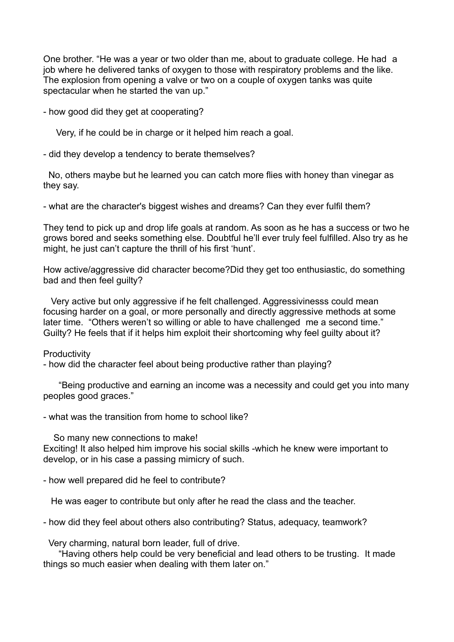One brother. "He was a year or two older than me, about to graduate college. He had a job where he delivered tanks of oxygen to those with respiratory problems and the like. The explosion from opening a valve or two on a couple of oxygen tanks was quite spectacular when he started the van up."

- how good did they get at cooperating?

Very, if he could be in charge or it helped him reach a goal.

- did they develop a tendency to berate themselves?

 No, others maybe but he learned you can catch more flies with honey than vinegar as they say.

- what are the character's biggest wishes and dreams? Can they ever fulfil them?

They tend to pick up and drop life goals at random. As soon as he has a success or two he grows bored and seeks something else. Doubtful he'll ever truly feel fulfilled. Also try as he might, he just can't capture the thrill of his first 'hunt'.

How active/aggressive did character become?Did they get too enthusiastic, do something bad and then feel guilty?

Very active but only aggressive if he felt challenged. Aggressivinesss could mean focusing harder on a goal, or more personally and directly aggressive methods at some later time. "Others weren't so willing or able to have challenged me a second time." Guilty? He feels that if it helps him exploit their shortcoming why feel guilty about it?

## **Productivity**

- how did the character feel about being productive rather than playing?

 "Being productive and earning an income was a necessity and could get you into many peoples good graces."

- what was the transition from home to school like?

 So many new connections to make! Exciting! It also helped him improve his social skills -which he knew were important to develop, or in his case a passing mimicry of such.

- how well prepared did he feel to contribute?

He was eager to contribute but only after he read the class and the teacher.

- how did they feel about others also contributing? Status, adequacy, teamwork?

Very charming, natural born leader, full of drive.

 "Having others help could be very beneficial and lead others to be trusting. It made things so much easier when dealing with them later on."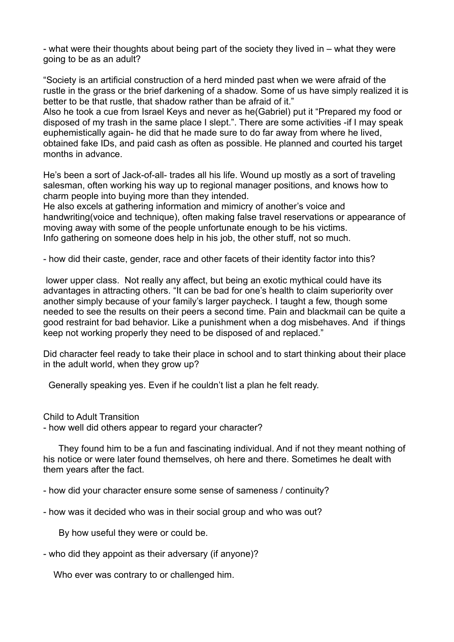- what were their thoughts about being part of the society they lived in – what they were going to be as an adult?

"Society is an artificial construction of a herd minded past when we were afraid of the rustle in the grass or the brief darkening of a shadow. Some of us have simply realized it is better to be that rustle, that shadow rather than be afraid of it."

Also he took a cue from Israel Keys and never as he(Gabriel) put it "Prepared my food or disposed of my trash in the same place I slept.". There are some activities -if I may speak euphemistically again- he did that he made sure to do far away from where he lived, obtained fake IDs, and paid cash as often as possible. He planned and courted his target months in advance.

He's been a sort of Jack-of-all- trades all his life. Wound up mostly as a sort of traveling salesman, often working his way up to regional manager positions, and knows how to charm people into buying more than they intended.

He also excels at gathering information and mimicry of another's voice and handwriting(voice and technique), often making false travel reservations or appearance of moving away with some of the people unfortunate enough to be his victims. Info gathering on someone does help in his job, the other stuff, not so much.

- how did their caste, gender, race and other facets of their identity factor into this?

lower upper class. Not really any affect, but being an exotic mythical could have its advantages in attracting others. "It can be bad for one's health to claim superiority over another simply because of your family's larger paycheck. I taught a few, though some needed to see the results on their peers a second time. Pain and blackmail can be quite a good restraint for bad behavior. Like a punishment when a dog misbehaves. And if things keep not working properly they need to be disposed of and replaced."

Did character feel ready to take their place in school and to start thinking about their place in the adult world, when they grow up?

Generally speaking yes. Even if he couldn't list a plan he felt ready.

Child to Adult Transition - how well did others appear to regard your character?

 They found him to be a fun and fascinating individual. And if not they meant nothing of his notice or were later found themselves, oh here and there. Sometimes he dealt with them years after the fact.

- how did your character ensure some sense of sameness / continuity?

- how was it decided who was in their social group and who was out?

By how useful they were or could be.

- who did they appoint as their adversary (if anyone)?

Who ever was contrary to or challenged him.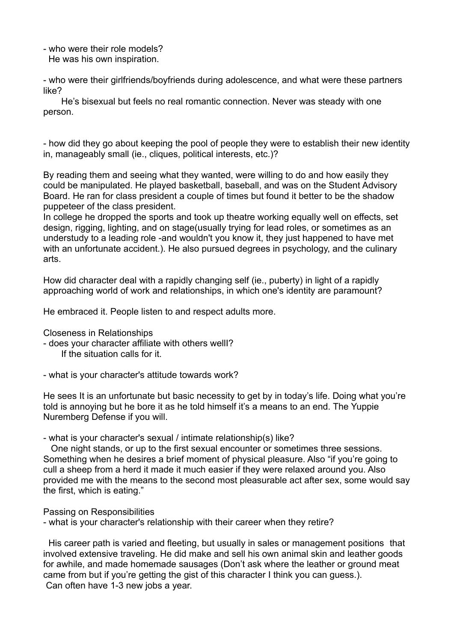- who were their role models? He was his own inspiration.

- who were their girlfriends/boyfriends during adolescence, and what were these partners like?

He's bisexual but feels no real romantic connection. Never was steady with one person.

- how did they go about keeping the pool of people they were to establish their new identity in, manageably small (ie., cliques, political interests, etc.)?

By reading them and seeing what they wanted, were willing to do and how easily they could be manipulated. He played basketball, baseball, and was on the Student Advisory Board. He ran for class president a couple of times but found it better to be the shadow puppeteer of the class president.

In college he dropped the sports and took up theatre working equally well on effects, set design, rigging, lighting, and on stage(usually trying for lead roles, or sometimes as an understudy to a leading role -and wouldn't you know it, they just happened to have met with an unfortunate accident.). He also pursued degrees in psychology, and the culinary arts.

How did character deal with a rapidly changing self (ie., puberty) in light of a rapidly approaching world of work and relationships, in which one's identity are paramount?

He embraced it. People listen to and respect adults more.

Closeness in Relationships

- does your character affiliate with others wellI?

If the situation calls for it.

- what is your character's attitude towards work?

He sees It is an unfortunate but basic necessity to get by in today's life. Doing what you're told is annoying but he bore it as he told himself it's a means to an end. The Yuppie Nuremberg Defense if you will.

- what is your character's sexual / intimate relationship(s) like?

One night stands, or up to the first sexual encounter or sometimes three sessions. Something when he desires a brief moment of physical pleasure. Also "if you're going to cull a sheep from a herd it made it much easier if they were relaxed around you. Also provided me with the means to the second most pleasurable act after sex, some would say the first, which is eating."

Passing on Responsibilities

- what is your character's relationship with their career when they retire?

 His career path is varied and fleeting, but usually in sales or management positions that involved extensive traveling. He did make and sell his own animal skin and leather goods for awhile, and made homemade sausages (Don't ask where the leather or ground meat came from but if you're getting the gist of this character I think you can guess.). Can often have 1-3 new jobs a year.